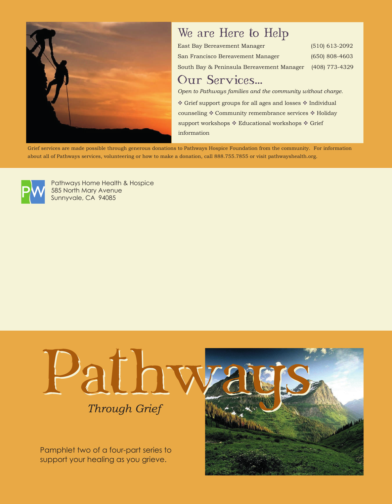

### We are Here to Help

| East Bay Bereavement Manager              | $(510)$ 613-2092 |
|-------------------------------------------|------------------|
| San Francisco Bereavement Manager         | $(650)$ 808-4603 |
| South Bay & Peninsula Bereavement Manager | (408) 773-4329   |

### Our Services...

*Open to Pathways families and the community without charge.*

 $\spadesuit$  Grief support groups for all ages and losses  $\spadesuit$  Individual counseling  $*$  Community remembrance services  $*$  Holiday support workshops  $*$  Educational workshops  $*$  Grief information

Grief services are made possible through generous donations to Pathways Hospice Foundation from the community. For information about all of Pathways services, volunteering or how to make a donation, call 888.755.7855 or visit pathwayshealth.org.



Pathways Home Health & Hospice 585 North Mary Avenue Sunnyvale, CA 94085